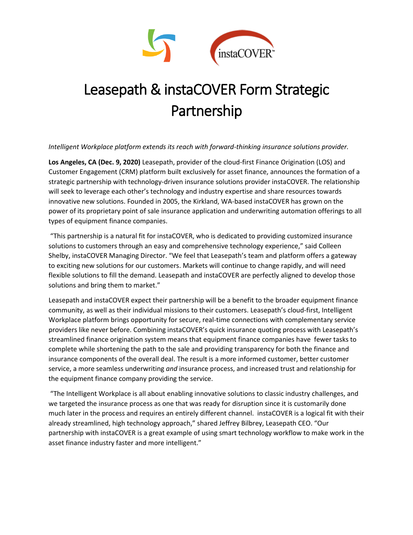

## Leasepath & instaCOVER Form Strategic Partnership

*Intelligent Workplace platform extends its reach with forward-thinking insurance solutions provider.*

**Los Angeles, CA (Dec. 9, 2020)** Leasepath, provider of the cloud-first Finance Origination (LOS) and Customer Engagement (CRM) platform built exclusively for asset finance, announces the formation of a strategic partnership with technology-driven insurance solutions provider instaCOVER. The relationship will seek to leverage each other's technology and industry expertise and share resources towards innovative new solutions. Founded in 2005, the Kirkland, WA-based instaCOVER has grown on the power of its proprietary point of sale insurance application and underwriting automation offerings to all types of equipment finance companies.

"This partnership is a natural fit for instaCOVER, who is dedicated to providing customized insurance solutions to customers through an easy and comprehensive technology experience," said Colleen Shelby, instaCOVER Managing Director. "We feel that Leasepath's team and platform offers a gateway to exciting new solutions for our customers. Markets will continue to change rapidly, and will need flexible solutions to fill the demand. Leasepath and instaCOVER are perfectly aligned to develop those solutions and bring them to market."

Leasepath and instaCOVER expect their partnership will be a benefit to the broader equipment finance community, as well as their individual missions to their customers. Leasepath's cloud-first, Intelligent Workplace platform brings opportunity for secure, real-time connections with complementary service providers like never before. Combining instaCOVER's quick insurance quoting process with Leasepath's streamlined finance origination system means that equipment finance companies have fewer tasks to complete while shortening the path to the sale and providing transparency for both the finance and insurance components of the overall deal. The result is a more informed customer, better customer service, a more seamless underwriting *and* insurance process, and increased trust and relationship for the equipment finance company providing the service.

"The Intelligent Workplace is all about enabling innovative solutions to classic industry challenges, and we targeted the insurance process as one that was ready for disruption since it is customarily done much later in the process and requires an entirely different channel. instaCOVER is a logical fit with their already streamlined, high technology approach," shared Jeffrey Bilbrey, Leasepath CEO. "Our partnership with instaCOVER is a great example of using smart technology workflow to make work in the asset finance industry faster and more intelligent."